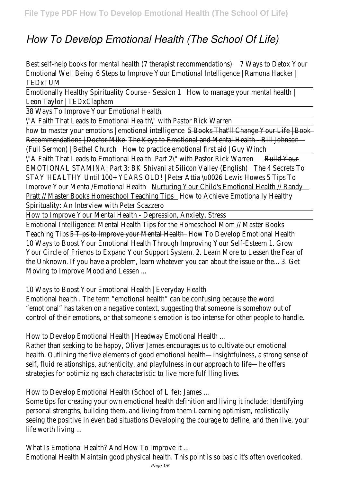## *How To Develop Emotional Health (The School Of Life)*

| Best self-help books for mental health (7 therapist recommendations)<br>6 Steps to Improve Your Emotional Intelligence   Ramona Hacker  <br><b>Emotional Well Being</b><br><b>TEDxTUM</b> | 7 Ways to Detox Your |  |
|-------------------------------------------------------------------------------------------------------------------------------------------------------------------------------------------|----------------------|--|
| Emotionally Healthy Spirituality Course - Session 1<br>How to manage your mental health  <br>Leon Taylor   TEDxClapham                                                                    |                      |  |
| 38 Ways To Improve Your Emotional Health                                                                                                                                                  |                      |  |
| \"A Faith That Leads to Emotional Health\" with Pastor Rick Warren                                                                                                                        |                      |  |
| 5 Books That'll Change Your Life   Book<br>how to master your emotions   emotional intelligence                                                                                           |                      |  |
| Recommendations   Doctor Mike The Keys to Emotional and Mental Health - Bill Johnson                                                                                                      |                      |  |
| (Full Sermon)   Bethel Church - - - - - How to practice emotional first aid   Guy Winch                                                                                                   |                      |  |
| \"A Faith That Leads to Emotional Health: Part 2\" with Pastor Rick Warren                                                                                                                | Build Your           |  |
| EMOTIONAL STAMINA: Part 3: BK Shivani at Silicon Valley (English) The Association of the 4 Secrets To                                                                                     |                      |  |
| STAY HEALTHY Until 100+ YEARS OLD!   Peter Attia \u0026 Lewis Howes                                                                                                                       | 5 Tips To            |  |
| Improve Your Mental/Emotional Health Murturing Your Child's Emotional Health // Randy                                                                                                     |                      |  |
| Pratt // Master Books Homeschool Teaching Tips _______________ How to Achieve Emotionally Healthy                                                                                         |                      |  |
| Spirituality: An Interview with Peter Scazzero                                                                                                                                            |                      |  |
| How to Improve Your Mental Health - Depression, Anxiety, Stress                                                                                                                           |                      |  |
|                                                                                                                                                                                           |                      |  |
| Emotional Intelligence: Mental Health Tips for the Homeschool Mom // Master Books                                                                                                         |                      |  |
| Teaching Tips 5 Tips to Improve your Mental Health Teal How To Develop Emotional Health                                                                                                   |                      |  |
| 10 Ways to Boost Your Emotional Health Through Improving Your Self-Esteem 1. Grow                                                                                                         |                      |  |
| Your Circle of Friends to Expand Your Support System. 2. Learn More to Lessen the Fear of                                                                                                 |                      |  |
| the Unknown. If you have a problem, learn whatever you can about the issue or the 3. Get                                                                                                  |                      |  |
| Moving to Improve Mood and Lessen                                                                                                                                                         |                      |  |
|                                                                                                                                                                                           |                      |  |
| 10 Ways to Boost Your Emotional Health   Everyday Health                                                                                                                                  |                      |  |
| Emotional health. The term "emotional health" can be confusing because the word                                                                                                           |                      |  |
| "emotional" has taken on a negative context, suggesting that someone is somehow out of                                                                                                    |                      |  |
| control of their emotions, or that someone's emotion is too intense for other people to handle.                                                                                           |                      |  |
|                                                                                                                                                                                           |                      |  |
| How to Develop Emotional Health   Headway Emotional Health                                                                                                                                |                      |  |
| Rather than seeking to be happy, Oliver James encourages us to cultivate our emotional                                                                                                    |                      |  |
| health. Outlining the five elements of good emotional health—insightfulness, a strong sense of                                                                                            |                      |  |
| self, fluid relationships, authenticity, and playfulness in our approach to life-he offers                                                                                                |                      |  |
| strategies for optimizing each characteristic to live more fulfilling lives.                                                                                                              |                      |  |
|                                                                                                                                                                                           |                      |  |
| How to Develop Emotional Health (School of Life): James                                                                                                                                   |                      |  |
| Some tips for creating your own emotional health definition and living it include: Identifying                                                                                            |                      |  |
| personal strengths, building them, and living from them Learning optimism, realistically                                                                                                  |                      |  |
| seeing the positive in even bad situations Developing the courage to define, and then live, your                                                                                          |                      |  |
| life worth living                                                                                                                                                                         |                      |  |

What Is Emotional Health? And How To Improve it ... Emotional Health Maintain good physical health. This point is so basic it's often overlooked.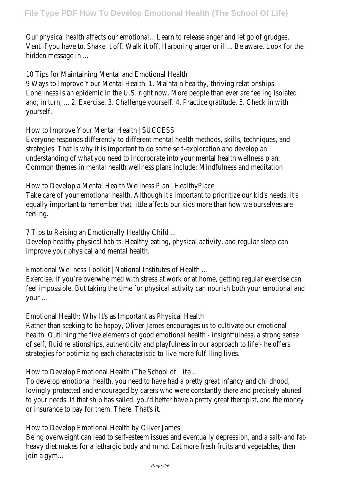Our physical health affects our emotional... Learn to release anger and let go of grudges. Vent if you have to. Shake it off. Walk it off. Harboring anger or ill... Be aware. Look for the hidden message in ...

10 Tips for Maintaining Mental and Emotional Health

9 Ways to Improve Your Mental Health. 1. Maintain healthy, thriving relationships. Loneliness is an epidemic in the U.S. right now. More people than ever are feeling isolated and, in turn, ... 2. Exercise. 3. Challenge yourself. 4. Practice gratitude. 5. Check in with yourself.

How to Improve Your Mental Health | SUCCESS

Everyone responds differently to different mental health methods, skills, techniques, and strategies. That is why it is important to do some self-exploration and develop an understanding of what you need to incorporate into your mental health wellness plan. Common themes in mental health wellness plans include: Mindfulness and meditation

How to Develop a Mental Health Wellness Plan | HealthyPlace

Take care of your emotional health. Although it's important to prioritize our kid's needs, it's equally important to remember that little affects our kids more than how we ourselves are feeling.

7 Tips to Raising an Emotionally Healthy Child ...

Develop healthy physical habits. Healthy eating, physical activity, and regular sleep can improve your physical and mental health.

Emotional Wellness Toolkit | National Institutes of Health ...

Exercise. If you're overwhelmed with stress at work or at home, getting regular exercise can feel impossible. But taking the time for physical activity can nourish both your emotional and your ...

Emotional Health: Why It's as Important as Physical Health

Rather than seeking to be happy, Oliver James encourages us to cultivate our emotional health. Outlining the five elements of good emotional health - insightfulness, a strong sense of self, fluid relationships, authenticity and playfulness in our approach to life - he offers strategies for optimizing each characteristic to live more fulfilling lives.

How to Develop Emotional Health (The School of Life ...

To develop emotional health, you need to have had a pretty great infancy and childhood, lovingly protected and encouraged by carers who were constantly there and precisely atuned to your needs. If that ship has sailed, you'd better have a pretty great therapist, and the money or insurance to pay for them. There. That's it.

How to Develop Emotional Health by Oliver James

Being overweight can lead to self-esteem issues and eventually depression, and a salt- and fatheavy diet makes for a lethargic body and mind. Eat more fresh fruits and vegetables, then join a gym...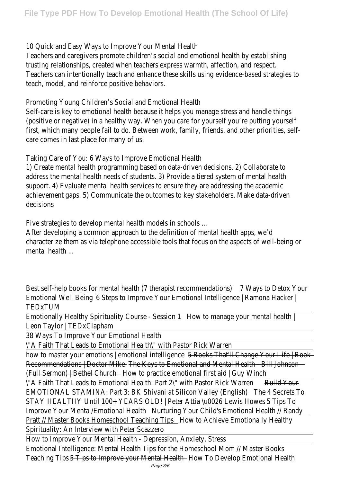10 Quick and Easy Ways to Improve Your Mental Health

Teachers and caregivers promote children's social and emotional health by establishing trusting relationships, created when teachers express warmth, affection, and respect. Teachers can intentionally teach and enhance these skills using evidence-based strategies to teach, model, and reinforce positive behaviors.

Promoting Young Children's Social and Emotional Health

Self-care is key to emotional health because it helps you manage stress and handle things (positive or negative) in a healthy way. When you care for yourself you're putting yourself first, which many people fail to do. Between work, family, friends, and other priorities, selfcare comes in last place for many of us.

Taking Care of You: 6 Ways to Improve Emotional Health

1) Create mental health programming based on data-driven decisions. 2) Collaborate to address the mental health needs of students. 3) Provide a tiered system of mental health support. 4) Evaluate mental health services to ensure they are addressing the academic achievement gaps. 5) Communicate the outcomes to key stakeholders. Make data-driven decisions

Five strategies to develop mental health models in schools ...

After developing a common approach to the definition of mental health apps, we'd characterize them as via telephone accessible tools that focus on the aspects of well-being or mental health ...

| Best self-help books for mental health (7 therapist recommendations)                          | 7 Ways to Detox Your             |  |
|-----------------------------------------------------------------------------------------------|----------------------------------|--|
| 6 Steps to Improve Your Emotional Intelligence   Ramona Hacker  <br>Emotional Well Being      |                                  |  |
| TEDxTUM                                                                                       |                                  |  |
| <b>Emotionally Healthy Spirituality Course - Session 1</b>                                    | How to manage your mental health |  |
| Leon Taylor   TEDxClapham                                                                     |                                  |  |
| 38 Ways To Improve Your Emotional Health                                                      |                                  |  |
| \"A Faith That Leads to Emotional Health\" with Pastor Rick Warren                            |                                  |  |
| how to master your emotions   emotional intelligence 5 Books That'll Change Your Life   Book  |                                  |  |
| Recommendations   Doctor Mike The Keys to Emotional and Mental Health - Bill Johnson          |                                  |  |
| (Full Sermon)   Bethel Church — — How to practice emotional first aid   Guy Winch             |                                  |  |
| \"A Faith That Leads to Emotional Health: Part 2\" with Pastor Rick Warren                    | <b>Build Your</b>                |  |
| <b>EMOTIONAL STAMINA: Part 3: BK Shivani at Silicon Valley (English)</b>                      | The 4 Secrets To                 |  |
| STAY HEALTHY Until 100+ YEARS OLD!   Peter Attia \u0026 Lewis Howes                           | 5 Tips To                        |  |
| Improve Your Mental/Emotional Health Murturing Your Child's Emotional Health // Randy         |                                  |  |
| <b>Pratt // Master Books Homeschool Teaching Tips [20] How to Achieve Emotionally Healthy</b> |                                  |  |
| Spirituality: An Interview with Peter Scazzero                                                |                                  |  |
| How to Improve Your Mental Health - Depression, Anxiety, Stress                               |                                  |  |
| Emotional Intelligence: Mental Health Tips for the Homeschool Mom // Master Books             |                                  |  |
| Teaching Tips 5 Tips to Improve your Mental Health Teal How To Develop Emotional Health       |                                  |  |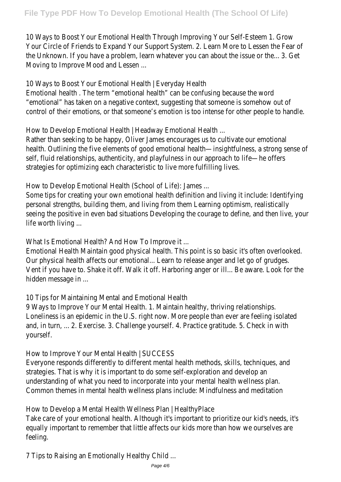10 Ways to Boost Your Emotional Health Through Improving Your Self-Esteem 1. Grow Your Circle of Friends to Expand Your Support System. 2. Learn More to Lessen the Fear of the Unknown. If you have a problem, learn whatever you can about the issue or the... 3. Get Moving to Improve Mood and Lessen ...

## 10 Ways to Boost Your Emotional Health | Everyday Health

Emotional health . The term "emotional health" can be confusing because the word "emotional" has taken on a negative context, suggesting that someone is somehow out of control of their emotions, or that someone's emotion is too intense for other people to handle.

How to Develop Emotional Health | Headway Emotional Health ...

Rather than seeking to be happy, Oliver James encourages us to cultivate our emotional health. Outlining the five elements of good emotional health—insightfulness, a strong sense of self, fluid relationships, authenticity, and playfulness in our approach to life—he offers strategies for optimizing each characteristic to live more fulfilling lives.

How to Develop Emotional Health (School of Life): James ...

Some tips for creating your own emotional health definition and living it include: Identifying personal strengths, building them, and living from them Learning optimism, realistically seeing the positive in even bad situations Developing the courage to define, and then live, your life worth living ...

What Is Emotional Health? And How To Improve it ...

Emotional Health Maintain good physical health. This point is so basic it's often overlooked. Our physical health affects our emotional... Learn to release anger and let go of grudges. Vent if you have to. Shake it off. Walk it off. Harboring anger or ill... Be aware. Look for the hidden message in ...

10 Tips for Maintaining Mental and Emotional Health

9 Ways to Improve Your Mental Health. 1. Maintain healthy, thriving relationships. Loneliness is an epidemic in the U.S. right now. More people than ever are feeling isolated and, in turn, ... 2. Exercise. 3. Challenge yourself. 4. Practice gratitude. 5. Check in with yourself.

How to Improve Your Mental Health | SUCCESS

Everyone responds differently to different mental health methods, skills, techniques, and strategies. That is why it is important to do some self-exploration and develop an understanding of what you need to incorporate into your mental health wellness plan. Common themes in mental health wellness plans include: Mindfulness and meditation

How to Develop a Mental Health Wellness Plan | HealthyPlace

Take care of your emotional health. Although it's important to prioritize our kid's needs, it's equally important to remember that little affects our kids more than how we ourselves are feeling.

7 Tips to Raising an Emotionally Healthy Child ...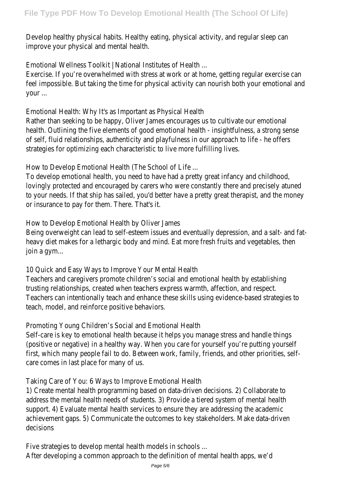Develop healthy physical habits. Healthy eating, physical activity, and regular sleep can improve your physical and mental health.

Emotional Wellness Toolkit | National Institutes of Health ...

Exercise. If you're overwhelmed with stress at work or at home, getting regular exercise can feel impossible. But taking the time for physical activity can nourish both your emotional and your ...

Emotional Health: Why It's as Important as Physical Health

Rather than seeking to be happy, Oliver James encourages us to cultivate our emotional health. Outlining the five elements of good emotional health - insightfulness, a strong sense of self, fluid relationships, authenticity and playfulness in our approach to life - he offers strategies for optimizing each characteristic to live more fulfilling lives.

How to Develop Emotional Health (The School of Life ...

To develop emotional health, you need to have had a pretty great infancy and childhood, lovingly protected and encouraged by carers who were constantly there and precisely atuned to your needs. If that ship has sailed, you'd better have a pretty great therapist, and the money or insurance to pay for them. There. That's it.

How to Develop Emotional Health by Oliver James

Being overweight can lead to self-esteem issues and eventually depression, and a salt- and fatheavy diet makes for a lethargic body and mind. Eat more fresh fruits and vegetables, then join a gym...

10 Quick and Easy Ways to Improve Your Mental Health

Teachers and caregivers promote children's social and emotional health by establishing trusting relationships, created when teachers express warmth, affection, and respect. Teachers can intentionally teach and enhance these skills using evidence-based strategies to teach, model, and reinforce positive behaviors.

Promoting Young Children's Social and Emotional Health

Self-care is key to emotional health because it helps you manage stress and handle things (positive or negative) in a healthy way. When you care for yourself you're putting yourself first, which many people fail to do. Between work, family, friends, and other priorities, selfcare comes in last place for many of us.

Taking Care of You: 6 Ways to Improve Emotional Health

1) Create mental health programming based on data-driven decisions. 2) Collaborate to address the mental health needs of students. 3) Provide a tiered system of mental health support. 4) Evaluate mental health services to ensure they are addressing the academic achievement gaps. 5) Communicate the outcomes to key stakeholders. Make data-driven decisions

Five strategies to develop mental health models in schools ... After developing a common approach to the definition of mental health apps, we'd